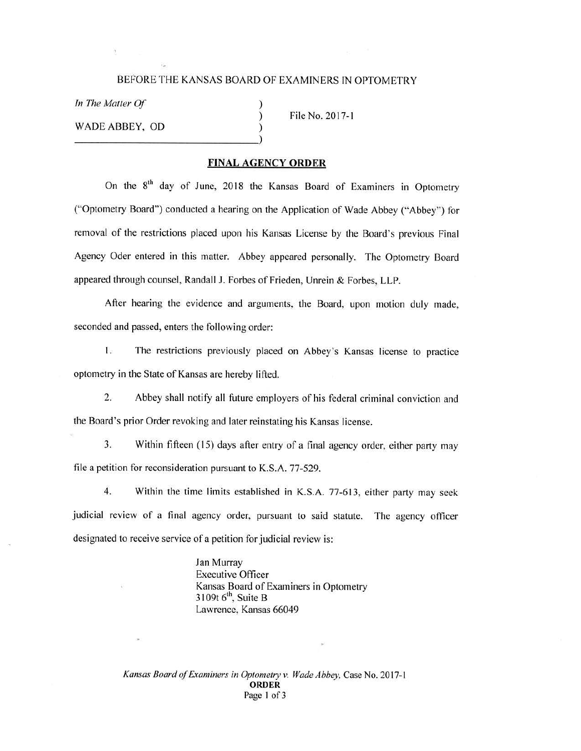## BEFORE THE KANSAS BOARD OF EXAMINERS IN OPTOMETRY

) ) )

*In The Matter Of* 

WADE ABBEY, OD  $\overrightarrow{)}$ 

File No. 2017-1

## **FINAL AGENCY ORDER**

On the 8<sup>th</sup> day of June, 2018 the Kansas Board of Examiners in Optometry ("Optometry Board") conducted a hearing on the Application of Wade Abbey ("Abbey") for removal of the restrictions placed upon his Kansas License by the Board's previous Final Agency Oder entered in this matter. Abbey appeared personally. The Optometry Board appeared through counsel, Randall J. Forbes of Frieden, Unrein & Forbes, LLP.

After hearing the evidence and arguments, the Board, upon motion duly made, seconded and passed, enters the following order:

I. The restrictions previously placed on Abbey's Kansas license to practice optometry in the State of Kansas are hereby lifted.

2. Abbey shall notify all future employers of his federal criminal conviction and the Board's prior Order revoking and later reinstating his Kansas license.

3. Within fifteen ( 15) days after entry of a final agency order, either party may file a petition for reconsideration pursuant to K.S.A. 77-529.

4. Within the time limits established in K.S.A. 77-613, either party may seek judicial review of a final agency order, pursuant to said statute. The agency officer designated to receive service of a petition for judicial review is:

> Jan Murray Executive Officer Kansas Board of Examiners in Optometry  $3109t$  6<sup>th</sup>, Suite B Lawrence, Kansas 66049

*Kansas Board of &aminers in Optometry v. Wade Abbey,* Case No. 2017- 1 **ORDER**  Page 1 of 3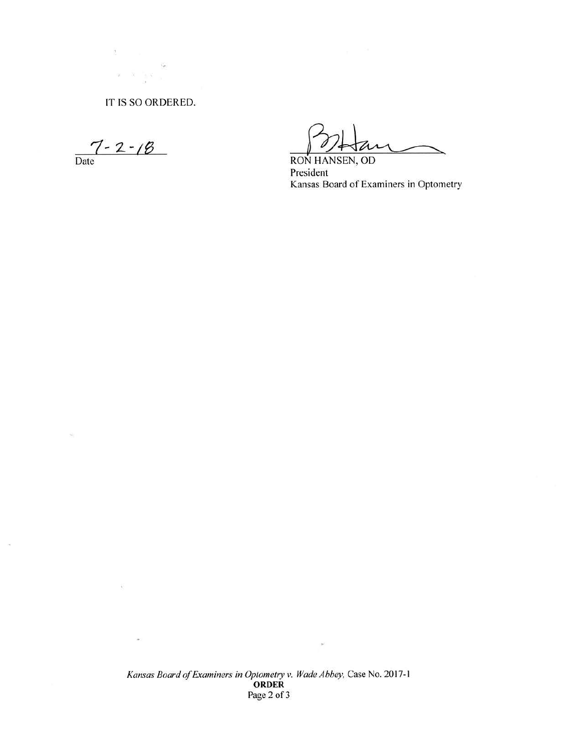IT IS SO ORDERED.

 $\label{eq:2.1} \mathbf{z} = \widetilde{\mathbf{x}} - \frac{1}{3}\mathbf{x}_{-3}.$ 

 $\tilde{\mathbf{r}}_{\mathbf{r}^{\prime}}$ 

 $\frac{7 - 2 - 18}{\text{Date}}$ 

 $\frac{1}{\sqrt{2}}$ 

 $\sim$ 

 $\widetilde{\Sigma}$ 

 $\sigma$ 

 $\overline{\mathcal{R}}$ 

RON HANSEN, OD President Kansas Board of Examiners in Optometry

Kansas Board of Examiners in Optometry v. Wade Abbey, Case No. 2017-1<br>ORDER Page 2 of 3

 $\bar{p}$